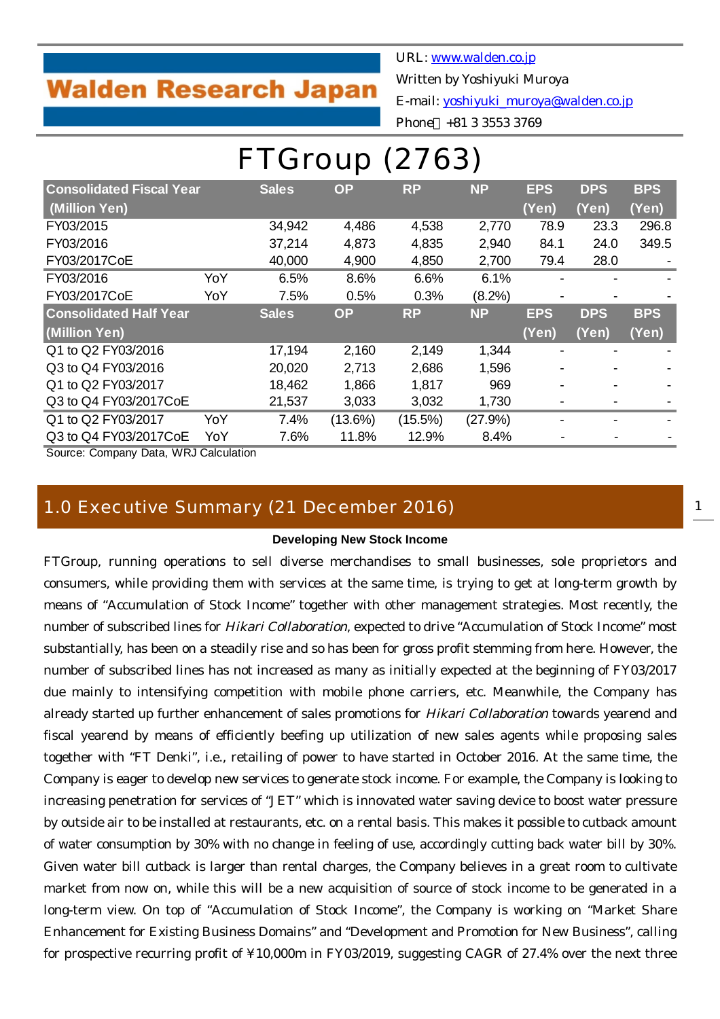# **Walden Research Japan**

URL: [www.walden.co.jp](http://www.walden.co.jp/)

Written by Yoshiyuki Muroya

E-mail: [yoshiyuki\\_muroya@walden.co.jp](mailto:yoshiyuki_muroya@walden.co.jp)

Phone +81 3 3553 3769

| (2763)<br>FTGroup                                                                                                                |     |              |            |            |           |            |            |            |  |  |  |  |
|----------------------------------------------------------------------------------------------------------------------------------|-----|--------------|------------|------------|-----------|------------|------------|------------|--|--|--|--|
| <b>Consolidated Fiscal Year</b><br><b>NP</b><br><b>EPS</b><br><b>Sales</b><br><b>OP</b><br><b>RP</b><br><b>DPS</b><br><b>BPS</b> |     |              |            |            |           |            |            |            |  |  |  |  |
| (Million Yen)                                                                                                                    |     |              |            |            |           | (Yen)      | (Yen)      | (Yen)      |  |  |  |  |
| FY03/2015                                                                                                                        |     | 34,942       | 4,486      | 4,538      | 2,770     | 78.9       | 23.3       | 296.8      |  |  |  |  |
| FY03/2016                                                                                                                        |     | 37,214       | 4,873      | 4,835      | 2,940     | 84.1       | 24.0       | 349.5      |  |  |  |  |
| FY03/2017CoE                                                                                                                     |     | 40,000       | 4,900      | 4,850      | 2,700     | 79.4       | 28.0       |            |  |  |  |  |
| FY03/2016                                                                                                                        | YoY | 6.5%         | 8.6%       | 6.6%       | 6.1%      |            |            |            |  |  |  |  |
| FY03/2017CoE                                                                                                                     | YoY | 7.5%         | 0.5%       | 0.3%       | $(8.2\%)$ |            |            |            |  |  |  |  |
| <b>Consolidated Half Year</b>                                                                                                    |     | <b>Sales</b> | <b>OP</b>  | <b>RP</b>  | <b>NP</b> | <b>EPS</b> | <b>DPS</b> | <b>BPS</b> |  |  |  |  |
| (Million Yen)                                                                                                                    |     |              |            |            |           | (Yen)      | (Yen)      | (Yen)      |  |  |  |  |
| Q1 to Q2 FY03/2016                                                                                                               |     | 17,194       | 2,160      | 2,149      | 1,344     |            |            |            |  |  |  |  |
| Q3 to Q4 FY03/2016                                                                                                               |     | 20,020       | 2,713      | 2,686      | 1,596     |            |            |            |  |  |  |  |
| Q1 to Q2 FY03/2017                                                                                                               |     | 18,462       | 1,866      | 1,817      | 969       |            |            |            |  |  |  |  |
| Q3 to Q4 FY03/2017CoE                                                                                                            |     | 21,537       | 3,033      | 3,032      | 1,730     |            |            |            |  |  |  |  |
| Q1 to Q2 FY03/2017                                                                                                               | YoY | 7.4%         | $(13.6\%)$ | $(15.5\%)$ | (27.9%)   |            |            |            |  |  |  |  |
| Q3 to Q4 FY03/2017CoE                                                                                                            | YoY | 7.6%         | 11.8%      | 12.9%      | 8.4%      |            |            |            |  |  |  |  |

Source: Company Data, WRJ Calculation

## 1.0 Executive Summary (21 December 2016)

#### **Developing New Stock Income**

FTGroup, running operations to sell diverse merchandises to small businesses, sole proprietors and consumers, while providing them with services at the same time, is trying to get at long-term growth by means of "Accumulation of Stock Income" together with other management strategies. Most recently, the number of subscribed lines for Hikari Collaboration, expected to drive "Accumulation of Stock Income" most substantially, has been on a steadily rise and so has been for gross profit stemming from here. However, the number of subscribed lines has not increased as many as initially expected at the beginning of FY03/2017 due mainly to intensifying competition with mobile phone carriers, etc. Meanwhile, the Company has already started up further enhancement of sales promotions for Hikari Collaboration towards yearend and fiscal yearend by means of efficiently beefing up utilization of new sales agents while proposing sales together with "FT Denki", i.e., retailing of power to have started in October 2016. At the same time, the Company is eager to develop new services to generate stock income. For example, the Company is looking to increasing penetration for services of "JET" which is innovated water saving device to boost water pressure by outside air to be installed at restaurants, etc. on a rental basis. This makes it possible to cutback amount of water consumption by 30% with no change in feeling of use, accordingly cutting back water bill by 30%. Given water bill cutback is larger than rental charges, the Company believes in a great room to cultivate market from now on, while this will be a new acquisition of source of stock income to be generated in a long-term view. On top of "Accumulation of Stock Income", the Company is working on "Market Share Enhancement for Existing Business Domains" and "Development and Promotion for New Business", calling for prospective recurring profit of ¥10,000m in FY03/2019, suggesting CAGR of 27.4% over the next three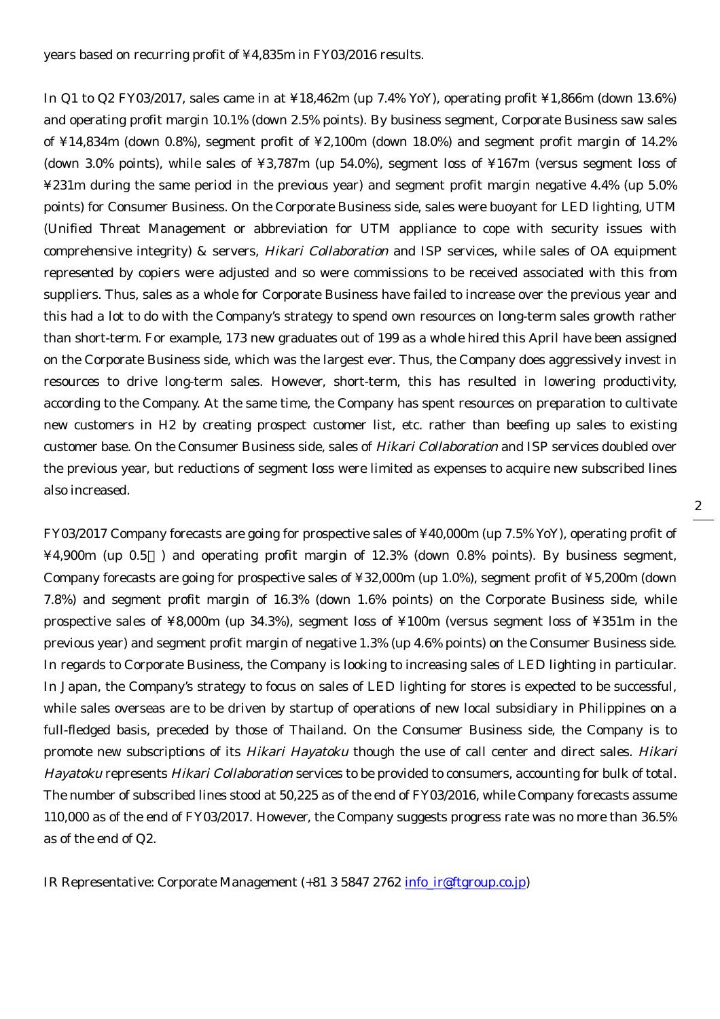years based on recurring profit of ¥4,835m in FY03/2016 results.

In Q1 to Q2 FY03/2017, sales came in at ¥18,462m (up 7.4% YoY), operating profit ¥1,866m (down 13.6%) and operating profit margin 10.1% (down 2.5% points). By business segment, Corporate Business saw sales of ¥14,834m (down 0.8%), segment profit of ¥2,100m (down 18.0%) and segment profit margin of 14.2% (down 3.0% points), while sales of ¥3,787m (up 54.0%), segment loss of ¥167m (versus segment loss of ¥231m during the same period in the previous year) and segment profit margin negative 4.4% (up 5.0% points) for Consumer Business. On the Corporate Business side, sales were buoyant for LED lighting, UTM (Unified Threat Management or abbreviation for UTM appliance to cope with security issues with comprehensive integrity) & servers, Hikari Collaboration and ISP services, while sales of OA equipment represented by copiers were adjusted and so were commissions to be received associated with this from suppliers. Thus, sales as a whole for Corporate Business have failed to increase over the previous year and this had a lot to do with the Company's strategy to spend own resources on long-term sales growth rather than short-term. For example, 173 new graduates out of 199 as a whole hired this April have been assigned on the Corporate Business side, which was the largest ever. Thus, the Company does aggressively invest in resources to drive long-term sales. However, short-term, this has resulted in lowering productivity, according to the Company. At the same time, the Company has spent resources on preparation to cultivate new customers in H2 by creating prospect customer list, etc. rather than beefing up sales to existing customer base. On the Consumer Business side, sales of Hikari Collaboration and ISP services doubled over the previous year, but reductions of segment loss were limited as expenses to acquire new subscribed lines also increased.

FY03/2017 Company forecasts are going for prospective sales of ¥40,000m (up 7.5% YoY), operating profit of ¥4,900m (up 0.5 ) and operating profit margin of 12.3% (down 0.8% points). By business segment, Company forecasts are going for prospective sales of ¥32,000m (up 1.0%), segment profit of ¥5,200m (down 7.8%) and segment profit margin of 16.3% (down 1.6% points) on the Corporate Business side, while prospective sales of ¥8,000m (up 34.3%), segment loss of ¥100m (versus segment loss of ¥351m in the previous year) and segment profit margin of negative 1.3% (up 4.6% points) on the Consumer Business side. In regards to Corporate Business, the Company is looking to increasing sales of LED lighting in particular. In Japan, the Company's strategy to focus on sales of LED lighting for stores is expected to be successful, while sales overseas are to be driven by startup of operations of new local subsidiary in Philippines on a full-fledged basis, preceded by those of Thailand. On the Consumer Business side, the Company is to promote new subscriptions of its Hikari Hayatoku though the use of call center and direct sales. Hikari Hayatoku represents Hikari Collaboration services to be provided to consumers, accounting for bulk of total. The number of subscribed lines stood at 50,225 as of the end of FY03/2016, while Company forecasts assume 110,000 as of the end of FY03/2017. However, the Company suggests progress rate was no more than 36.5% as of the end of Q2.

IR Representative: Corporate Management  $(+81 3 5847 2762 \text{ info} \text{ i}$ r@ftgroup.co.jp)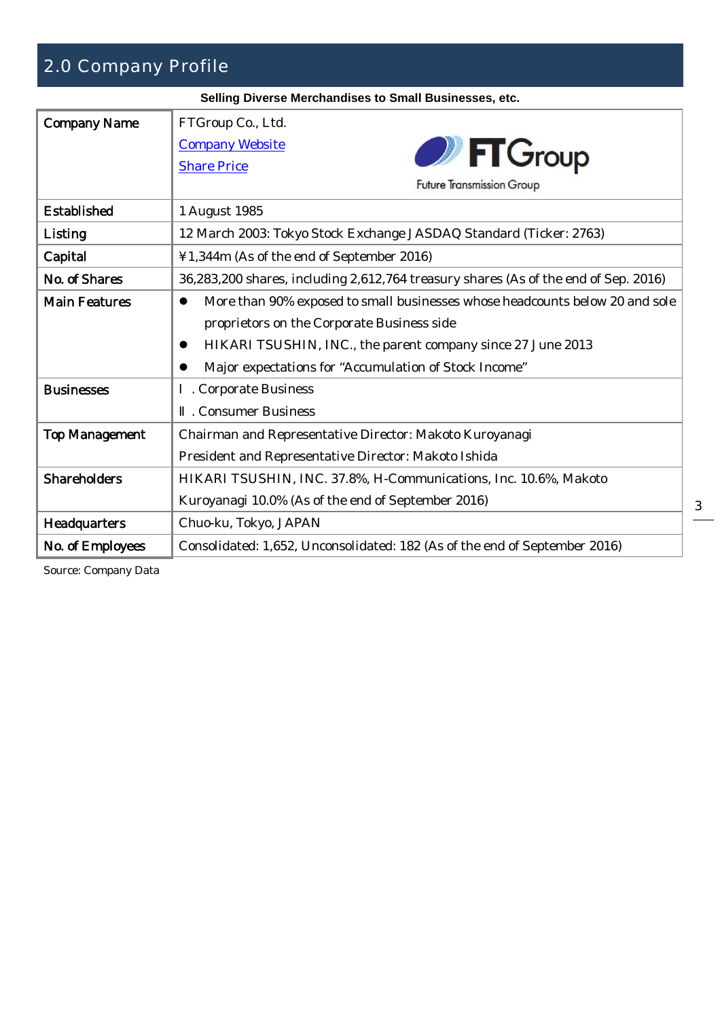# 2.0 Company Profile

**Selling Diverse Merchandises to Small Businesses, etc.**

|                       | cinity Diverse merchandises to Unidii Dusinesses, etc.                                                                                                                                                                                             |
|-----------------------|----------------------------------------------------------------------------------------------------------------------------------------------------------------------------------------------------------------------------------------------------|
| <b>Company Name</b>   | FTGroup Co., Ltd.<br><b>Company Website</b><br><b>D</b> FT Group<br><b>Share Price</b>                                                                                                                                                             |
|                       | <b>Future Transmission Group</b>                                                                                                                                                                                                                   |
| <b>Established</b>    | 1 August 1985                                                                                                                                                                                                                                      |
| Listing               | 12 March 2003: Tokyo Stock Exchange JASDAQ Standard (Ticker: 2763)                                                                                                                                                                                 |
| Capital               | ¥1,344m (As of the end of September 2016)                                                                                                                                                                                                          |
| No. of Shares         | 36,283,200 shares, including 2,612,764 treasury shares (As of the end of Sep. 2016)                                                                                                                                                                |
| <b>Main Features</b>  | More than 90% exposed to small businesses whose headcounts below 20 and sole<br>proprietors on the Corporate Business side<br>HIKARI TSUSHIN, INC., the parent company since 27 June 2013<br>Major expectations for "Accumulation of Stock Income" |
| <b>Businesses</b>     | . Corporate Business<br>. Consumer Business                                                                                                                                                                                                        |
| <b>Top Management</b> | Chairman and Representative Director: Makoto Kuroyanagi<br>President and Representative Director: Makoto Ishida                                                                                                                                    |
| <b>Shareholders</b>   | HIKARI TSUSHIN, INC. 37.8%, H-Communications, Inc. 10.6%, Makoto<br>Kuroyanagi 10.0% (As of the end of September 2016)                                                                                                                             |
| <b>Headquarters</b>   | Chuo-ku, Tokyo, JAPAN                                                                                                                                                                                                                              |
| No. of Employees      | Consolidated: 1,652, Unconsolidated: 182 (As of the end of September 2016)                                                                                                                                                                         |

Source: Company Data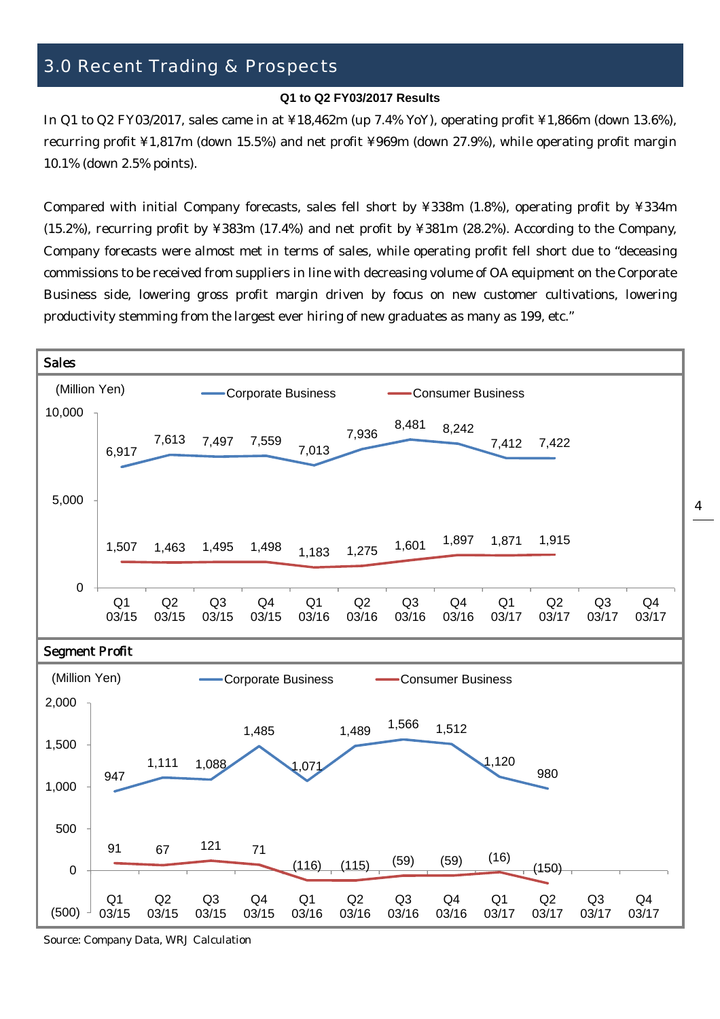# 3.0 Recent Trading & Prospects

#### **Q1 to Q2 FY03/2017 Results**

In Q1 to Q2 FY03/2017, sales came in at ¥18,462m (up 7.4% YoY), operating profit ¥1,866m (down 13.6%), recurring profit ¥1,817m (down 15.5%) and net profit ¥969m (down 27.9%), while operating profit margin 10.1% (down 2.5% points).

Compared with initial Company forecasts, sales fell short by ¥338m (1.8%), operating profit by ¥334m (15.2%), recurring profit by ¥383m (17.4%) and net profit by ¥381m (28.2%). According to the Company, Company forecasts were almost met in terms of sales, while operating profit fell short due to "deceasing commissions to be received from suppliers in line with decreasing volume of OA equipment on the Corporate Business side, lowering gross profit margin driven by focus on new customer cultivations, lowering productivity stemming from the largest ever hiring of new graduates as many as 199, etc."

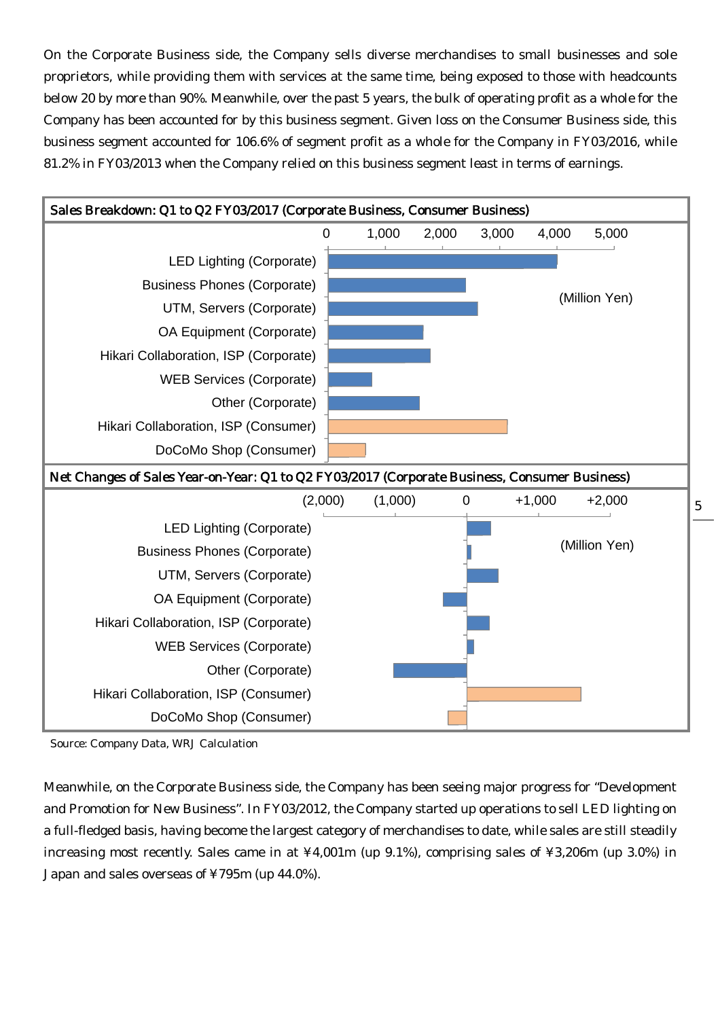On the Corporate Business side, the Company sells diverse merchandises to small businesses and sole proprietors, while providing them with services at the same time, being exposed to those with headcounts below 20 by more than 90%. Meanwhile, over the past 5 years, the bulk of operating profit as a whole for the Company has been accounted for by this business segment. Given loss on the Consumer Business side, this business segment accounted for 106.6% of segment profit as a whole for the Company in FY03/2016, while 81.2% in FY03/2013 when the Company relied on this business segment least in terms of earnings.



Source: Company Data, WRJ Calculation

Meanwhile, on the Corporate Business side, the Company has been seeing major progress for "Development and Promotion for New Business". In FY03/2012, the Company started up operations to sell LED lighting on a full-fledged basis, having become the largest category of merchandises to date, while sales are still steadily increasing most recently. Sales came in at ¥4,001m (up 9.1%), comprising sales of ¥3,206m (up 3.0%) in Japan and sales overseas of ¥795m (up 44.0%).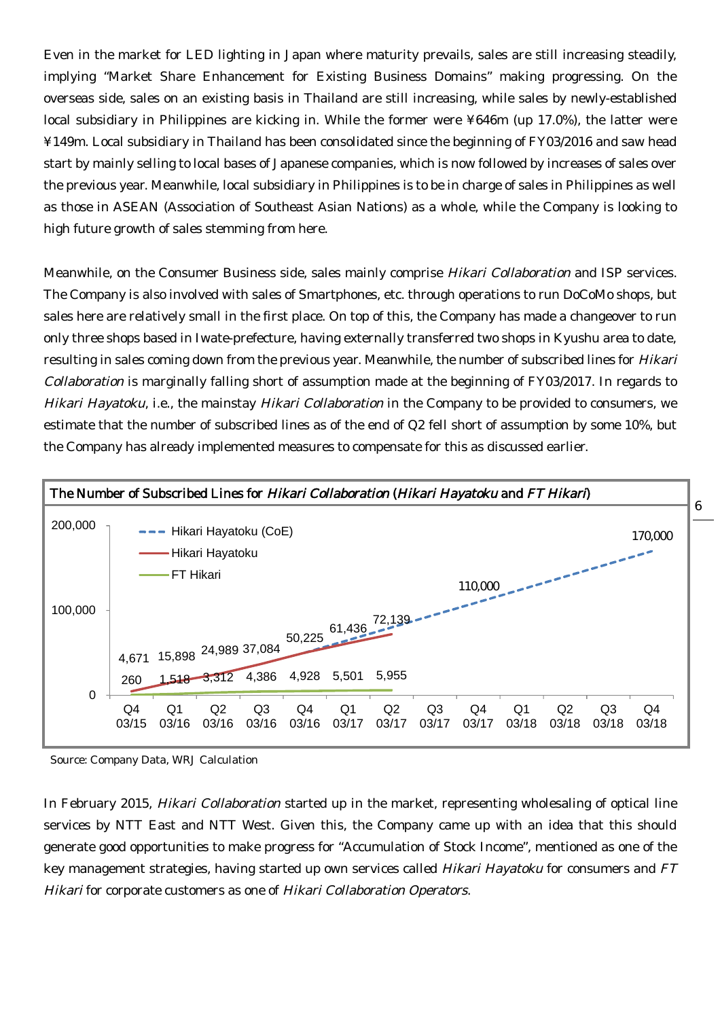Even in the market for LED lighting in Japan where maturity prevails, sales are still increasing steadily, implying "Market Share Enhancement for Existing Business Domains" making progressing. On the overseas side, sales on an existing basis in Thailand are still increasing, while sales by newly-established local subsidiary in Philippines are kicking in. While the former were ¥646m (up 17.0%), the latter were ¥149m. Local subsidiary in Thailand has been consolidated since the beginning of FY03/2016 and saw head start by mainly selling to local bases of Japanese companies, which is now followed by increases of sales over the previous year. Meanwhile, local subsidiary in Philippines is to be in charge of sales in Philippines as well as those in ASEAN (Association of Southeast Asian Nations) as a whole, while the Company is looking to high future growth of sales stemming from here.

Meanwhile, on the Consumer Business side, sales mainly comprise Hikari Collaboration and ISP services. The Company is also involved with sales of Smartphones, etc. through operations to run DoCoMo shops, but sales here are relatively small in the first place. On top of this, the Company has made a changeover to run only three shops based in Iwate-prefecture, having externally transferred two shops in Kyushu area to date, resulting in sales coming down from the previous year. Meanwhile, the number of subscribed lines for Hikari Collaboration is marginally falling short of assumption made at the beginning of FY03/2017. In regards to Hikari Hayatoku, i.e., the mainstay Hikari Collaboration in the Company to be provided to consumers, we estimate that the number of subscribed lines as of the end of Q2 fell short of assumption by some 10%, but the Company has already implemented measures to compensate for this as discussed earlier.



Source: Company Data, WRJ Calculation

In February 2015, Hikari Collaboration started up in the market, representing wholesaling of optical line services by NTT East and NTT West. Given this, the Company came up with an idea that this should generate good opportunities to make progress for "Accumulation of Stock Income", mentioned as one of the key management strategies, having started up own services called *Hikari Hayatoku* for consumers and FT Hikari for corporate customers as one of Hikari Collaboration Operators.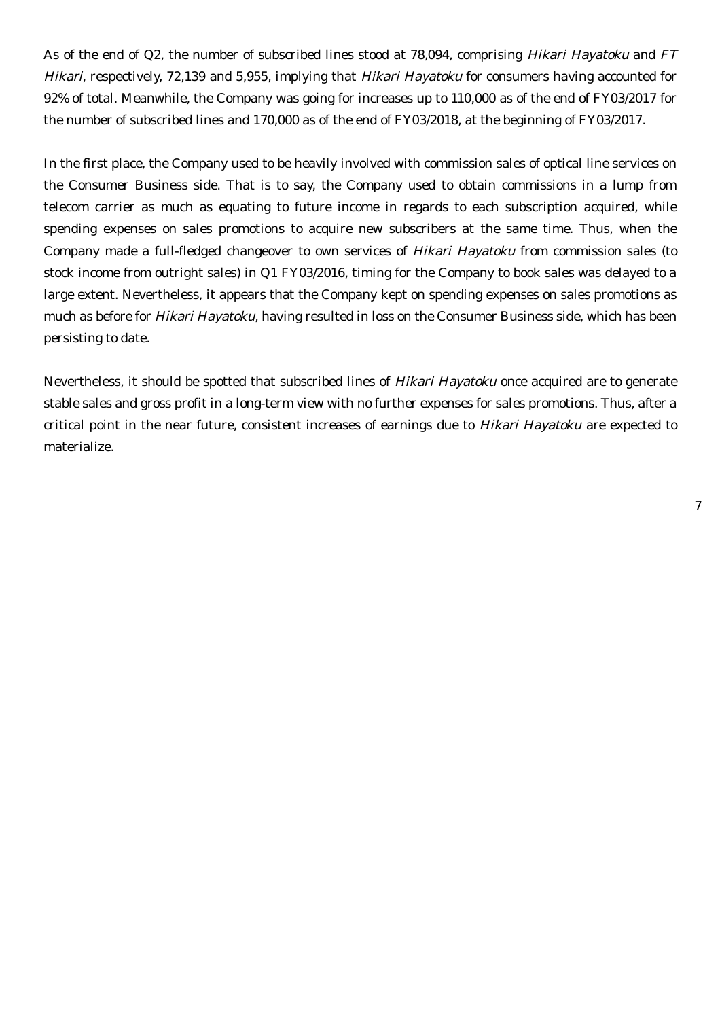As of the end of Q2, the number of subscribed lines stood at 78,094, comprising Hikari Hayatoku and FT Hikari, respectively, 72,139 and 5,955, implying that Hikari Hayatoku for consumers having accounted for 92% of total. Meanwhile, the Company was going for increases up to 110,000 as of the end of FY03/2017 for the number of subscribed lines and 170,000 as of the end of FY03/2018, at the beginning of FY03/2017.

In the first place, the Company used to be heavily involved with commission sales of optical line services on the Consumer Business side. That is to say, the Company used to obtain commissions in a lump from telecom carrier as much as equating to future income in regards to each subscription acquired, while spending expenses on sales promotions to acquire new subscribers at the same time. Thus, when the Company made a full-fledged changeover to own services of Hikari Hayatoku from commission sales (to stock income from outright sales) in Q1 FY03/2016, timing for the Company to book sales was delayed to a large extent. Nevertheless, it appears that the Company kept on spending expenses on sales promotions as much as before for Hikari Hayatoku, having resulted in loss on the Consumer Business side, which has been persisting to date.

Nevertheless, it should be spotted that subscribed lines of Hikari Hayatoku once acquired are to generate stable sales and gross profit in a long-term view with no further expenses for sales promotions. Thus, after a critical point in the near future, consistent increases of earnings due to Hikari Hayatoku are expected to materialize.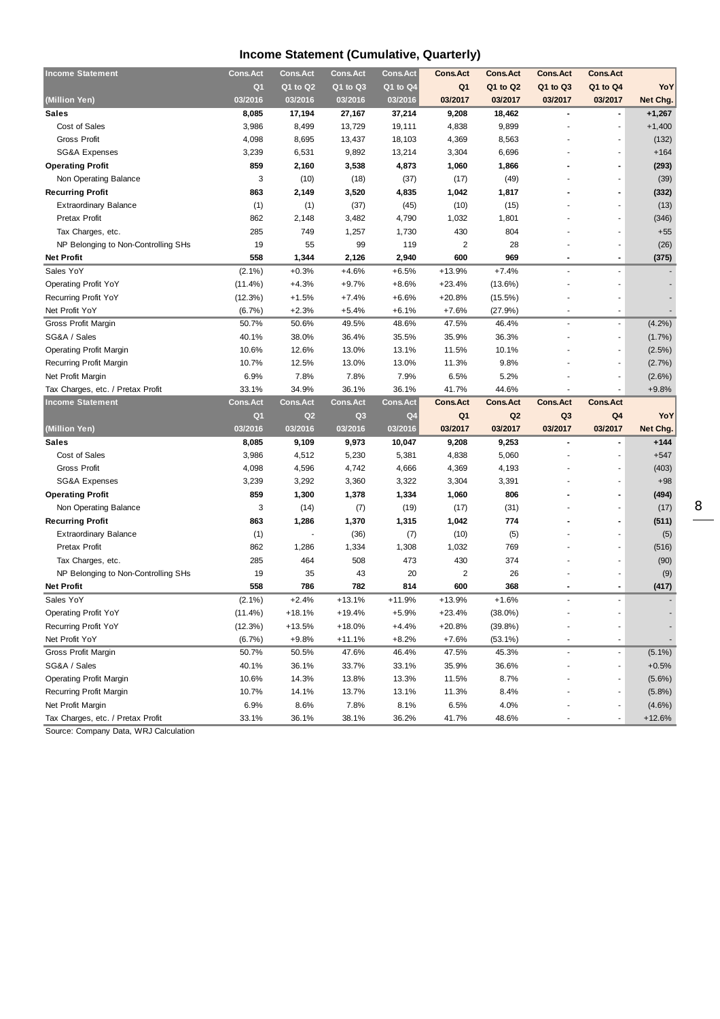## **Income Statement (Cumulative, Quarterly)**

| <b>Income Statement</b>             | <b>Cons.Act</b> | <b>Cons.Act</b> | <b>Cons.Act</b> | <b>Cons.Act</b>  | <b>Cons.Act</b> | <b>Cons.Act</b> | <b>Cons.Act</b>          | <b>Cons.Act</b>          |                       |
|-------------------------------------|-----------------|-----------------|-----------------|------------------|-----------------|-----------------|--------------------------|--------------------------|-----------------------|
|                                     | Q <sub>1</sub>  | Q1 to Q2        | Q1 to Q3        | $Q1$ to $Q4$     | Q <sub>1</sub>  | Q1 to Q2        | Q1 to Q3                 | Q1 to Q4                 | YoY                   |
| (Million Yen)                       | 03/2016         | 03/2016         | 03/2016         | 03/2016          | 03/2017         | 03/2017         | 03/2017                  | 03/2017                  | Net Chg.              |
| <b>Sales</b>                        | 8,085           | 17,194          | 27,167          | 37,214           | 9,208           | 18,462          | $\overline{\phantom{a}}$ | $\blacksquare$           | $+1,267$              |
| Cost of Sales                       | 3,986           | 8,499           | 13,729          | 19,111           | 4,838           | 9,899           |                          | $\overline{\phantom{a}}$ | $+1,400$              |
| <b>Gross Profit</b>                 | 4,098           | 8,695           | 13,437          | 18,103           | 4,369           | 8,563           |                          | $\overline{\phantom{a}}$ | (132)                 |
| <b>SG&amp;A Expenses</b>            | 3,239           | 6,531           | 9,892           | 13,214           | 3,304           | 6,696           |                          | $\overline{\phantom{a}}$ | $+164$                |
| <b>Operating Profit</b>             | 859             | 2,160           | 3,538           | 4,873            | 1,060           | 1,866           |                          | $\overline{\phantom{a}}$ | (293)                 |
| Non Operating Balance               | 3               | (10)            | (18)            | (37)             | (17)            | (49)            |                          | $\blacksquare$           | (39)                  |
| <b>Recurring Profit</b>             | 863             | 2,149           | 3,520           | 4,835            | 1,042           | 1,817           |                          | $\overline{\phantom{a}}$ | (332)                 |
| <b>Extraordinary Balance</b>        | (1)             | (1)             | (37)            | (45)             | (10)            | (15)            |                          | $\blacksquare$           | (13)                  |
| Pretax Profit                       | 862             | 2,148           | 3,482           | 4,790            | 1,032           | 1,801           |                          | $\overline{\phantom{a}}$ | (346)                 |
| Tax Charges, etc.                   | 285             | 749             | 1,257           | 1,730            | 430             | 804             |                          | $\overline{\phantom{a}}$ | $+55$                 |
| NP Belonging to Non-Controlling SHs | 19              | 55              | 99              | 119              | $\overline{2}$  | 28              |                          | $\blacksquare$           | (26)                  |
| <b>Net Profit</b>                   | 558             | 1,344           | 2,126           | 2,940            | 600             | 969             |                          | $\overline{\phantom{a}}$ | (375)                 |
| Sales YoY                           | $(2.1\%)$       | $+0.3%$         | $+4.6%$         | $+6.5%$          | $+13.9%$        | $+7.4%$         |                          | $\overline{a}$           |                       |
| <b>Operating Profit YoY</b>         | $(11.4\%)$      | +4.3%           | $+9.7%$         | $+8.6%$          | $+23.4%$        | (13.6%)         |                          | $\overline{\phantom{a}}$ |                       |
| Recurring Profit YoY                | (12.3%)         | $+1.5%$         | $+7.4%$         | $+6.6%$          | $+20.8%$        | (15.5%)         |                          |                          |                       |
| Net Profit YoY                      | (6.7%)          | $+2.3%$         | $+5.4%$         | $+6.1%$          | $+7.6%$         | (27.9%)         | ×,                       | $\overline{\phantom{a}}$ |                       |
| Gross Profit Margin                 | 50.7%           | 50.6%           | 49.5%           | 48.6%            | 47.5%           | 46.4%           | Ĭ.                       | $\blacksquare$           | $(4.2\%)$             |
| SG&A / Sales                        | 40.1%           | 38.0%           | 36.4%           | 35.5%            | 35.9%           | 36.3%           |                          | $\overline{\phantom{a}}$ | (1.7%)                |
| <b>Operating Profit Margin</b>      | 10.6%           | 12.6%           | 13.0%           | 13.1%            | 11.5%           | 10.1%           |                          | $\overline{\phantom{a}}$ | (2.5%)                |
| <b>Recurring Profit Margin</b>      | 10.7%           | 12.5%           | 13.0%           | 13.0%            | 11.3%           | 9.8%            |                          | $\overline{\phantom{a}}$ | (2.7%)                |
| Net Profit Margin                   | 6.9%            | 7.8%            | 7.8%            | 7.9%             | 6.5%            | 5.2%            |                          | $\overline{a}$           | $(2.6\%)$             |
| Tax Charges, etc. / Pretax Profit   | 33.1%           | 34.9%           | 36.1%           | 36.1%            | 41.7%           | 44.6%           | ×,                       | $\overline{\phantom{a}}$ | $+9.8%$               |
| <b>Income Statement</b>             | <b>Cons.Act</b> | <b>Cons.Act</b> | <b>Cons.Act</b> | <b>Cons. Act</b> | <b>Cons.Act</b> | <b>Cons.Act</b> | <b>Cons.Act</b>          | <b>Cons.Act</b>          |                       |
|                                     | Q <sub>1</sub>  | Q2              | Q <sub>3</sub>  | Q <sub>4</sub>   | Q <sub>1</sub>  | Q2              | Q <sub>3</sub>           | Q4                       | YoY                   |
| (Million Yen)                       | 03/2016         | 03/2016         | 03/2016         | 03/2016          | 03/2017         | 03/2017         | 03/2017                  | 03/2017                  | Net Chg.              |
| <b>Sales</b>                        | 8,085           | 9,109           | 9,973           | 10,047           | 9,208           | 9,253           |                          | $\blacksquare$           | $+144$                |
| Cost of Sales                       | 3,986           | 4,512           | 5,230           | 5,381            | 4,838           | 5,060           | ٠                        | $\sim$                   | $+547$                |
| <b>Gross Profit</b>                 | 4,098           | 4,596           | 4,742           | 4,666            | 4,369           | 4,193           |                          | $\overline{\phantom{a}}$ | (403)                 |
| <b>SG&amp;A Expenses</b>            | 3,239           | 3,292           | 3,360           | 3,322            | 3,304           | 3,391           |                          |                          | $+98$                 |
| <b>Operating Profit</b>             | 859             |                 | 1,378           |                  |                 | 806             |                          | $\blacksquare$           |                       |
|                                     |                 | 1,300           |                 | 1,334            | 1,060           |                 |                          |                          | (494)                 |
| Non Operating Balance               | 3               | (14)            | (7)             | (19)             | (17)            | (31)            |                          | $\blacksquare$           | (17)                  |
| <b>Recurring Profit</b>             | 863             | 1,286           | 1,370           | 1,315            | 1,042           | 774             |                          | $\blacksquare$           | (511)                 |
| <b>Extraordinary Balance</b>        | (1)             |                 | (36)            | (7)              | (10)            | (5)             |                          | $\overline{\phantom{a}}$ | (5)                   |
| Pretax Profit                       | 862             | 1,286           | 1,334           | 1,308            | 1,032           | 769             |                          | $\overline{\phantom{a}}$ | (516)                 |
| Tax Charges, etc.                   | 285             | 464             | 508             | 473              | 430             | 374             |                          | $\overline{\phantom{a}}$ | (90)                  |
| NP Belonging to Non-Controlling SHs | 19              | 35              | 43              | 20               | $\overline{2}$  | 26              |                          | $\blacksquare$           | (9)                   |
| <b>Net Profit</b>                   | 558             | 786             | 782             | 814              | 600             | 368             |                          | $\blacksquare$           | (417)                 |
| Sales YoY                           | $(2.1\%)$       | $+2.4%$         | $+13.1%$        | $+11.9%$         | $+13.9%$        | $+1.6%$         |                          | $\overline{\phantom{a}}$ |                       |
| <b>Operating Profit YoY</b>         | $(11.4\%)$      | +18.1%          | +19.4%          | $+5.9%$          | +23.4%          | $(38.0\%)$      |                          |                          |                       |
| Recurring Profit YoY                | (12.3%)         | +13.5%          | $+18.0%$        | $+4.4%$          | $+20.8%$        | (39.8%)         |                          |                          |                       |
| Net Profit YoY                      | (6.7%)          | $+9.8%$         | $+11.1%$        | $+8.2%$          | $+7.6%$         | $(53.1\%)$      |                          |                          |                       |
| Gross Profit Margin                 |                 |                 |                 |                  |                 |                 |                          |                          |                       |
| SG&A / Sales                        | 50.7%           | 50.5%           | 47.6%           | 46.4%            | 47.5%           | 45.3%           |                          | $\blacksquare$           | $(5.1\%)$             |
|                                     | 40.1%           | 36.1%           | 33.7%           | 33.1%            | 35.9%           | 36.6%           |                          | $\overline{\phantom{a}}$ | $+0.5%$               |
| <b>Operating Profit Margin</b>      | 10.6%           | 14.3%           | 13.8%           | 13.3%            | 11.5%           | 8.7%            |                          | $\blacksquare$           | $(5.6\%)$             |
| Recurring Profit Margin             | 10.7%           | 14.1%           | 13.7%           | 13.1%            | 11.3%           | 8.4%            |                          |                          | (5.8%)                |
| Net Profit Margin                   | 6.9%<br>33.1%   | 8.6%            | 7.8%            | 8.1%             | 6.5%            | 4.0%            |                          | $\blacksquare$           | $(4.6\%)$<br>$+12.6%$ |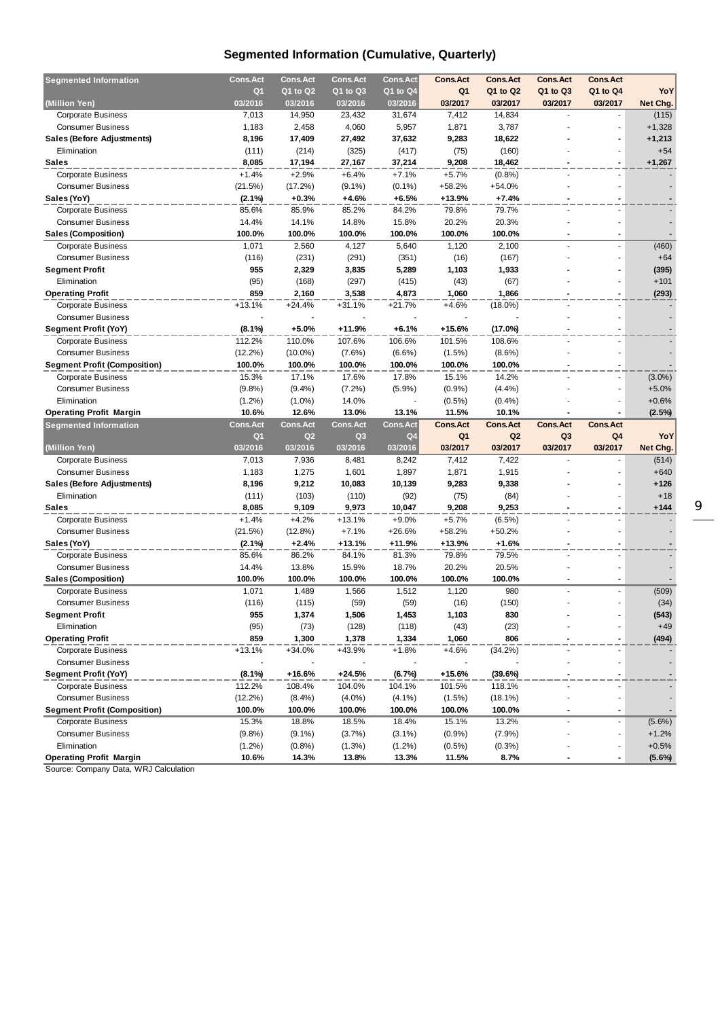## **Segmented Information (Cumulative, Quarterly)**

| <b>Segmented Information</b>        | <b>Cons.Act</b> | <b>Cons.Act</b> | <b>Cons.Act</b> | <b>Cons.Act</b> | <b>Cons.Act</b> | <b>Cons.Act</b> | <b>Cons.Act</b> | <b>Cons.Act</b>          |           |
|-------------------------------------|-----------------|-----------------|-----------------|-----------------|-----------------|-----------------|-----------------|--------------------------|-----------|
|                                     | Q1              | Q1 to Q2        | Q1 to Q3        | Q1 to Q4        | Q <sub>1</sub>  | Q1 to Q2        | Q1 to Q3        | Q1 to Q4                 | YoY       |
| (Million Yen)                       | 03/2016         | 03/2016         | 03/2016         | 03/2016         | 03/2017         | 03/2017         | 03/2017         | 03/2017                  | Net Chg.  |
| <b>Corporate Business</b>           | 7,013           | 14,950          | 23,432          | 31,674          | 7,412           | 14,834          |                 |                          | (115)     |
| <b>Consumer Business</b>            | 1,183           | 2,458           | 4,060           | 5,957           | 1,871           | 3,787           |                 | $\blacksquare$           | $+1,328$  |
| <b>Sales (Before Adjustments)</b>   | 8,196           | 17,409          | 27,492          | 37,632          | 9,283           | 18,622          |                 |                          | +1,213    |
| Elimination                         | (111)           | (214)           | (325)           | (417)           | (75)            | (160)           |                 |                          | $+54$     |
| <b>Sales</b>                        | 8,085           | 17,194          | 27,167          | 37,214          | 9,208           | 18,462          |                 |                          | $+1,267$  |
| <b>Corporate Business</b>           | $+1.4%$         | $+2.9%$         | $+6.4%$         | $+7.1%$         | $+5.7%$         | (0.8%           |                 |                          |           |
| <b>Consumer Business</b>            | (21.5%)         | (17.2%)         | $(9.1\%)$       | $(0.1\%)$       | $+58.2%$        | $+54.0%$        |                 |                          |           |
| Sales (YoY)                         | $(2.1\%)$       | $+0.3%$         | +4.6%           | $+6.5%$         | $+13.9%$        | $+7.4%$         |                 |                          |           |
| <b>Corporate Business</b>           | 85.6%           | 85.9%           | 85.2%           | 84.2%           | 79.8%           | 79.7%           |                 |                          |           |
| <b>Consumer Business</b>            | 14.4%           | 14.1%           | 14.8%           | 15.8%           | 20.2%           | 20.3%           |                 |                          |           |
| <b>Sales (Composition)</b>          | 100.0%          | 100.0%          | 100.0%          | 100.0%          | 100.0%          | 100.0%          |                 |                          |           |
|                                     |                 |                 |                 |                 |                 |                 |                 | $\blacksquare$           |           |
| <b>Corporate Business</b>           | 1,071           | 2,560           | 4,127           | 5,640           | 1,120           | 2,100           |                 |                          | (460)     |
| <b>Consumer Business</b>            | (116)           | (231)           | (291)           | (351)           | (16)            | (167)           |                 | $\blacksquare$           | $+64$     |
| <b>Segment Profit</b>               | 955             | 2,329           | 3,835           | 5,289           | 1,103           | 1,933           |                 |                          | (395)     |
| Elimination                         | (95)            | (168)           | (297)           | (415)           | (43)            | (67)            |                 |                          | $+101$    |
| <b>Operating Profit</b>             | 859             | 2,160           | 3,538           | 4,873           | 1,060           | 1,866           |                 |                          | (293)     |
| Corporate Business                  | $+13.1%$        | $+24.4%$        | $+31.1%$        | $+21.7%$        | $+4.6%$         | $(18.0\%)$      |                 |                          |           |
| <b>Consumer Business</b>            |                 |                 |                 |                 |                 |                 |                 |                          |           |
| Segment Profit (YoY)                | $(8.1\%)$       | $+5.0%$         | +11.9%          | $+6.1%$         | $+15.6%$        | (17.0%)         |                 |                          |           |
| <b>Corporate Business</b>           | 112.2%          | 110.0%          | 107.6%          | 106.6%          | 101.5%          | 108.6%          |                 |                          |           |
| <b>Consumer Business</b>            | $(12.2\%)$      | $(10.0\%)$      | $(7.6\%)$       | $(6.6\%)$       | (1.5%)          | $(8.6\%)$       |                 |                          |           |
| <b>Segment Profit (Composition)</b> | 100.0%          | 100.0%          | 100.0%          | 100.0%          | 100.0%          | 100.0%          |                 |                          |           |
| <b>Corporate Business</b>           | 15.3%           | 17.1%           | 17.6%           | 17.8%           | 15.1%           | 14.2%           |                 |                          | $(3.0\%)$ |
| <b>Consumer Business</b>            | (9.8%)          | $(9.4\%)$       | (7.2%)          | (5.9%)          | (0.9%           | (4.4%)          |                 | $\overline{\phantom{a}}$ | $+5.0%$   |
| Elimination                         | $(1.2\%)$       | $(1.0\%)$       | 14.0%           |                 | $(0.5\%)$       | (0.4%           |                 |                          | $+0.6%$   |
| <b>Operating Profit Margin</b>      | 10.6%           | 12.6%           | 13.0%           | 13.1%           | 11.5%           | 10.1%           |                 |                          | $(2.5\%)$ |
|                                     |                 |                 |                 |                 |                 |                 |                 |                          |           |
| <b>Segmented Information</b>        | <b>Cons.Act</b> | <b>Cons.Act</b> | <b>Cons.Act</b> | <b>Cons.Act</b> | <b>Cons.Act</b> | <b>Cons.Act</b> | <b>Cons.Act</b> | <b>Cons.Act</b>          |           |
|                                     | Q1              | Q <sub>2</sub>  | Q <sub>3</sub>  | Q4              | Q <sub>1</sub>  | Q2              | Q <sub>3</sub>  | Q4                       | YoY       |
| (Million Yen)                       | 03/2016         | 03/2016         | 03/2016         | 03/2016         | 03/2017         | 03/2017         | 03/2017         | 03/2017                  | Net Chg.  |
| <b>Corporate Business</b>           | 7,013           | 7,936           | 8,481           | 8,242           | 7,412           | 7,422           |                 |                          | (514)     |
| <b>Consumer Business</b>            | 1,183           | 1,275           | 1,601           | 1,897           | 1,871           | 1,915           |                 |                          | $+640$    |
|                                     | 8,196           |                 | 10,083          | 10,139          | 9,283           | 9,338           |                 |                          | $+126$    |
| Sales (Before Adjustments)          |                 | 9,212           |                 |                 |                 |                 |                 |                          | $+18$     |
| Elimination<br><b>Sales</b>         | (111)<br>8,085  | (103)           | (110)           | (92)            | (75)            | (84)            |                 |                          | $+144$    |
|                                     |                 | 9,109           | 9,973           | 10,047          | 9,208           | 9,253           |                 |                          |           |
| <b>Corporate Business</b>           | $+1.4%$         | $+4.2%$         | $+13.1%$        | $+9.0%$         | $+5.7%$         | $(6.5\%)$       |                 |                          |           |
| <b>Consumer Business</b>            | (21.5%)         | $(12.8\%)$      | $+7.1%$         | $+26.6%$        | $+58.2%$        | $+50.2%$        |                 |                          |           |
| Sales (YoY)                         | $(2.1\%)$       | $+2.4%$         | +13.1%          | +11.9%          | $+13.9%$        | $+1.6%$         |                 |                          |           |
| <b>Corporate Business</b>           | 85.6%           | 86.2%           | 84.1%           | 81.3%           | 79.8%           | 79.5%           |                 |                          |           |
| <b>Consumer Business</b>            | 14.4%           | 13.8%           | 15.9%           | 18.7%           | 20.2%           | 20.5%           |                 |                          |           |
| <b>Sales (Composition)</b>          | 100.0%          | 100.0%          | 100.0%          | 100.0%          | 100.0%          | 100.0%          |                 |                          |           |
| <b>Corporate Business</b>           | 1,071           | 1,489           | 1,566           | 1,512           | 1,120           | 980             |                 |                          | (509)     |
| <b>Consumer Business</b>            | (116)           | (115)           | (59)            | (59)            | (16)            | (150)           |                 |                          | (34)      |
| <b>Segment Profit</b>               | 955             | 1,374           | 1,506           | 1,453           | 1,103           | 830             |                 |                          | (543)     |
| Elimination                         | (95)            | (73)            | (128)           | (118)           | (43)            | (23)            |                 |                          | $+49$     |
| <b>Operating Profit</b>             | 859             | 1,300           | 1,378           | 1,334           | 1,060           | 806             |                 |                          | (494)     |
| <b>Corporate Business</b>           | $+13.1%$        | +34.0%          | +43.9%          | $+1.8%$         | +4.6%           | (34.2%)         |                 |                          |           |
| <b>Consumer Business</b>            |                 |                 |                 |                 |                 |                 |                 |                          |           |
| Segment Profit (YoY)                | $(8.1\%)$       | +16.6%          | +24.5%          | (6.7%)          | +15.6%          | (39.6%)         |                 |                          |           |
| <b>Corporate Business</b>           | 112.2%          | 108.4%          | 104.0%          | 104.1%          | 101.5%          | 118.1%          |                 |                          |           |
| <b>Consumer Business</b>            | $(12.2\%)$      | $(8.4\%)$       | $(4.0\%)$       | $(4.1\%)$       | (1.5%)          | $(18.1\%)$      |                 |                          |           |
| <b>Segment Profit (Composition)</b> | 100.0%          | 100.0%          | 100.0%          | 100.0%          | 100.0%          | 100.0%          |                 | $\overline{\phantom{a}}$ |           |
| <b>Corporate Business</b>           | 15.3%           | 18.8%           | 18.5%           | 18.4%           | 15.1%           | 13.2%           |                 | $\overline{\phantom{a}}$ | $(5.6\%)$ |
| <b>Consumer Business</b>            | (9.8%)          | $(9.1\%)$       | (3.7%)          | $(3.1\%)$       | $(0.9\%)$       | (7.9%)          |                 |                          | $+1.2%$   |
| Elimination                         | $(1.2\%)$       | (0.8% )         | (1.3%)          | $(1.2\%)$       | $(0.5\%)$       | $(0.3\%)$       |                 |                          | $+0.5%$   |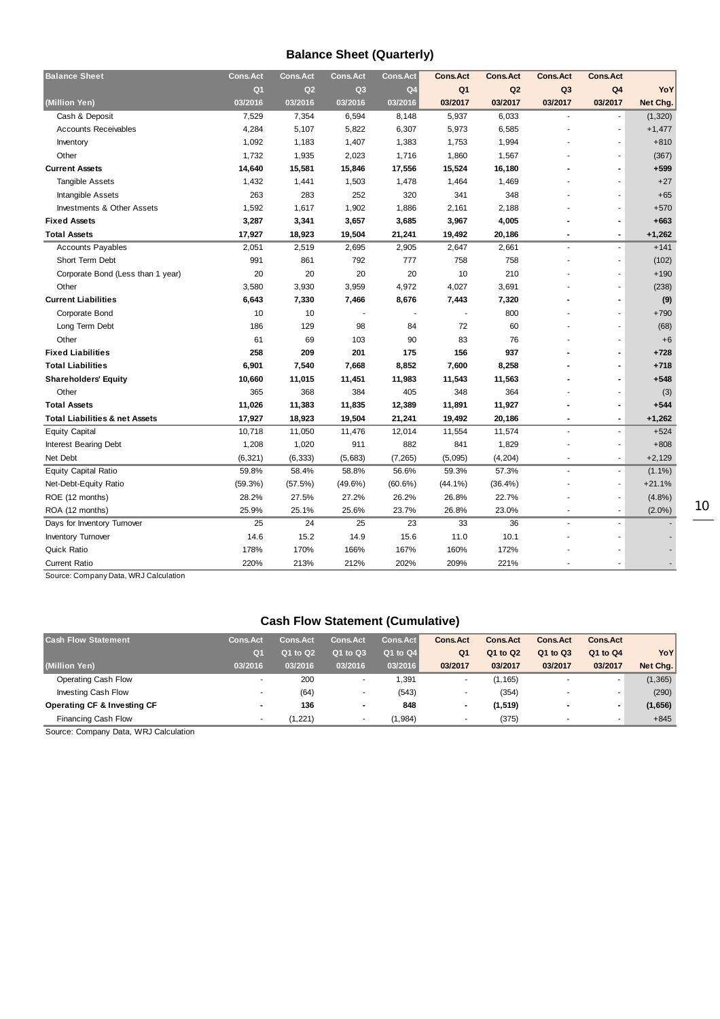## **Balance Sheet (Quarterly)**

| <b>Balance Sheet</b>                      | <b>Cons.Act</b> | <b>Cons.Act</b> | <b>Cons.Act</b> | Cons. Act      | <b>Cons.Act</b> | <b>Cons.Act</b> | <b>Cons.Act</b>          | <b>Cons.Act</b>          |           |
|-------------------------------------------|-----------------|-----------------|-----------------|----------------|-----------------|-----------------|--------------------------|--------------------------|-----------|
|                                           | Q <sub>1</sub>  | Q2              | Q3              | Q <sub>4</sub> | Q <sub>1</sub>  | Q <sub>2</sub>  | Q <sub>3</sub>           | Q <sub>4</sub>           | YoY       |
| (Million Yen)                             | 03/2016         | 03/2016         | 03/2016         | 03/2016        | 03/2017         | 03/2017         | 03/2017                  | 03/2017                  | Net Chg.  |
| Cash & Deposit                            | 7,529           | 7,354           | 6,594           | 8,148          | 5,937           | 6,033           |                          |                          | (1, 320)  |
| <b>Accounts Receivables</b>               | 4,284           | 5,107           | 5,822           | 6,307          | 5,973           | 6,585           |                          | ÷,                       | $+1,477$  |
| Inventory                                 | 1,092           | 1,183           | 1,407           | 1,383          | 1,753           | 1,994           |                          | $\sim$                   | $+810$    |
| Other                                     | 1,732           | 1,935           | 2,023           | 1,716          | 1,860           | 1,567           |                          | $\sim$                   | (367)     |
| <b>Current Assets</b>                     | 14,640          | 15,581          | 15,846          | 17,556         | 15,524          | 16,180          |                          | $\blacksquare$           | $+599$    |
| <b>Tangible Assets</b>                    | 1,432           | 1,441           | 1,503           | 1,478          | 1,464           | 1,469           |                          | $\blacksquare$           | $+27$     |
| Intangible Assets                         | 263             | 283             | 252             | 320            | 341             | 348             |                          | $\blacksquare$           | $+65$     |
| <b>Investments &amp; Other Assets</b>     | 1,592           | 1,617           | 1,902           | 1,886          | 2,161           | 2,188           |                          | $\overline{\phantom{a}}$ | $+570$    |
| <b>Fixed Assets</b>                       | 3,287           | 3,341           | 3,657           | 3,685          | 3,967           | 4,005           |                          | $\overline{\phantom{a}}$ | $+663$    |
| <b>Total Assets</b>                       | 17,927          | 18,923          | 19,504          | 21,241         | 19,492          | 20,186          |                          | $\blacksquare$           | $+1,262$  |
| <b>Accounts Payables</b>                  | 2,051           | 2,519           | 2,695           | 2,905          | 2,647           | 2,661           | $\sim$                   | $\overline{\phantom{a}}$ | $+141$    |
| Short Term Debt                           | 991             | 861             | 792             | 777            | 758             | 758             |                          | $\overline{\phantom{a}}$ | (102)     |
| Corporate Bond (Less than 1 year)         | 20              | 20              | 20              | 20             | 10              | 210             |                          | $\overline{\phantom{a}}$ | $+190$    |
| Other                                     | 3,580           | 3,930           | 3,959           | 4,972          | 4,027           | 3,691           |                          | $\overline{\phantom{a}}$ | (238)     |
| <b>Current Liabilities</b>                | 6,643           | 7,330           | 7,466           | 8,676          | 7,443           | 7,320           |                          | $\overline{\phantom{a}}$ | (9)       |
| Corporate Bond                            | 10              | 10              |                 |                |                 | 800             |                          | $\overline{a}$           | $+790$    |
| Long Term Debt                            | 186             | 129             | 98              | 84             | 72              | 60              |                          | $\overline{\phantom{a}}$ | (68)      |
| Other                                     | 61              | 69              | 103             | 90             | 83              | 76              |                          | ٠                        | $+6$      |
| <b>Fixed Liabilities</b>                  | 258             | 209             | 201             | 175            | 156             | 937             |                          | $\blacksquare$           | $+728$    |
| <b>Total Liabilities</b>                  | 6,901           | 7,540           | 7,668           | 8,852          | 7,600           | 8,258           |                          | $\blacksquare$           | $+718$    |
| <b>Shareholders' Equity</b>               | 10,660          | 11,015          | 11,451          | 11,983         | 11,543          | 11,563          |                          | $\blacksquare$           | $+548$    |
| Other                                     | 365             | 368             | 384             | 405            | 348             | 364             |                          | ٠                        | (3)       |
| <b>Total Assets</b>                       | 11,026          | 11,383          | 11,835          | 12,389         | 11,891          | 11,927          |                          | $\blacksquare$           | $+544$    |
| <b>Total Liabilities &amp; net Assets</b> | 17,927          | 18,923          | 19,504          | 21,241         | 19,492          | 20,186          |                          | $\blacksquare$           | $+1,262$  |
| <b>Equity Capital</b>                     | 10,718          | 11,050          | 11,476          | 12,014         | 11,554          | 11,574          |                          | $\overline{\phantom{a}}$ | $+524$    |
| <b>Interest Bearing Debt</b>              | 1,208           | 1,020           | 911             | 882            | 841             | 1,829           |                          | $\blacksquare$           | $+808$    |
| Net Debt                                  | (6, 321)        | (6, 333)        | (5,683)         | (7, 265)       | (5,095)         | (4, 204)        | $\blacksquare$           | $\blacksquare$           | $+2,129$  |
| <b>Equity Capital Ratio</b>               | 59.8%           | 58.4%           | 58.8%           | 56.6%          | 59.3%           | 57.3%           | $\blacksquare$           | $\overline{\phantom{a}}$ | $(1.1\%)$ |
| Net-Debt-Equity Ratio                     | (59.3%)         | (57.5%)         | $(49.6\%)$      | $(60.6\%)$     | $(44.1\%)$      | $(36.4\%)$      |                          | $\overline{\phantom{a}}$ | $+21.1%$  |
| ROE (12 months)                           | 28.2%           | 27.5%           | 27.2%           | 26.2%          | 26.8%           | 22.7%           |                          | $\blacksquare$           | (4.8%)    |
| ROA (12 months)                           | 25.9%           | 25.1%           | 25.6%           | 23.7%          | 26.8%           | 23.0%           | $\overline{\phantom{a}}$ | $\overline{\phantom{a}}$ | $(2.0\%)$ |
| Days for Inventory Turnover               | 25              | 24              | 25              | 23             | 33              | 36              | $\blacksquare$           | $\overline{\phantom{a}}$ |           |
| <b>Inventory Turnover</b>                 | 14.6            | 15.2            | 14.9            | 15.6           | 11.0            | 10.1            |                          |                          |           |
| <b>Quick Ratio</b>                        | 178%            | 170%            | 166%            | 167%           | 160%            | 172%            |                          |                          |           |
| <b>Current Ratio</b>                      | 220%            | 213%            | 212%            | 202%           | 209%            | 221%            |                          |                          |           |
|                                           |                 |                 |                 |                |                 |                 |                          |                          |           |

Source: Company Data, WRJ Calculation

## **Cash Flow Statement (Cumulative)**

| <b>Cash Flow Statement</b>             | <b>Cons.Act</b>          | <b>Cons.Act</b> | <b>Cons.Act</b> | Cons.Act     | <b>Cons Act</b>          | <b>Cons.Act</b> | <b>Cons.Act</b>          | <b>Cons.Act</b>          |          |
|----------------------------------------|--------------------------|-----------------|-----------------|--------------|--------------------------|-----------------|--------------------------|--------------------------|----------|
|                                        | Q <sub>1</sub>           | Q1 to Q2        | Q1 to Q3        | $Q1$ to $Q4$ | Q <sub>1</sub>           | Q1 to Q2        | Q1 to Q3                 | Q1 to Q4                 | YoY      |
| (Million Yen)                          | 03/2016                  | 03/2016         | 03/2016         | 03/2016      | 03/2017                  | 03/2017         | 03/2017                  | 03/2017                  | Net Chg. |
| Operating Cash Flow                    |                          | 200             |                 | 1,391        | $\overline{\phantom{a}}$ | (1, 165)        |                          | $\overline{\phantom{a}}$ | (1, 365) |
| <b>Investing Cash Flow</b>             | $\overline{\phantom{a}}$ | (64)            |                 | (543)        | $\overline{\phantom{a}}$ | (354)           | $\overline{\phantom{a}}$ | $\overline{\phantom{a}}$ | (290)    |
| <b>Operating CF &amp; Investing CF</b> | $\overline{\phantom{a}}$ | 136             |                 | 848          |                          | (1, 519)        |                          | $\blacksquare$           | (1,656)  |
| <b>Financing Cash Flow</b>             |                          | (1,221)         |                 | (1,984)      |                          | (375)           |                          |                          | $+845$   |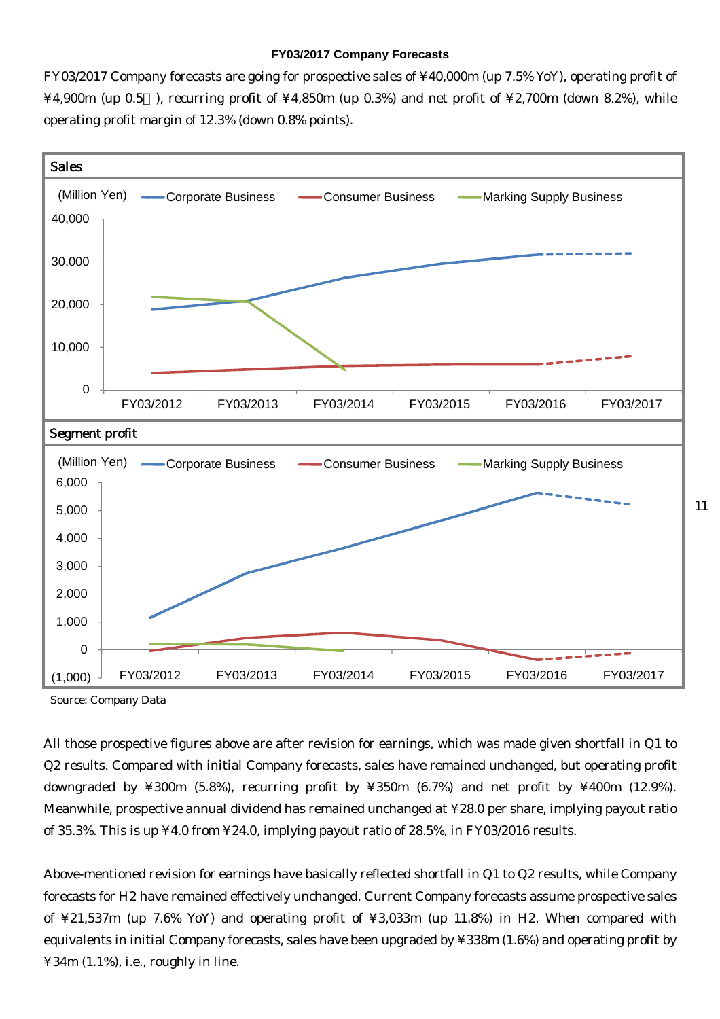#### **FY03/2017 Company Forecasts**

FY03/2017 Company forecasts are going for prospective sales of ¥40,000m (up 7.5% YoY), operating profit of  $\text{\textsterling}4,900\text{m}$  (up 0.5 ), recurring profit of  $\text{\textsterling}4,850\text{m}$  (up 0.3%) and net profit of  $\text{\textsterling}2,700\text{m}$  (down 8.2%), while operating profit margin of 12.3% (down 0.8% points).



11

Source: Company Data

All those prospective figures above are after revision for earnings, which was made given shortfall in Q1 to Q2 results. Compared with initial Company forecasts, sales have remained unchanged, but operating profit downgraded by ¥300m (5.8%), recurring profit by ¥350m (6.7%) and net profit by ¥400m (12.9%). Meanwhile, prospective annual dividend has remained unchanged at ¥28.0 per share, implying payout ratio of 35.3%. This is up ¥4.0 from ¥24.0, implying payout ratio of 28.5%, in FY03/2016 results.

Above-mentioned revision for earnings have basically reflected shortfall in Q1 to Q2 results, while Company forecasts for H2 have remained effectively unchanged. Current Company forecasts assume prospective sales of ¥21,537m (up 7.6% YoY) and operating profit of ¥3,033m (up 11.8%) in H2. When compared with equivalents in initial Company forecasts, sales have been upgraded by ¥338m (1.6%) and operating profit by ¥34m (1.1%), i.e., roughly in line.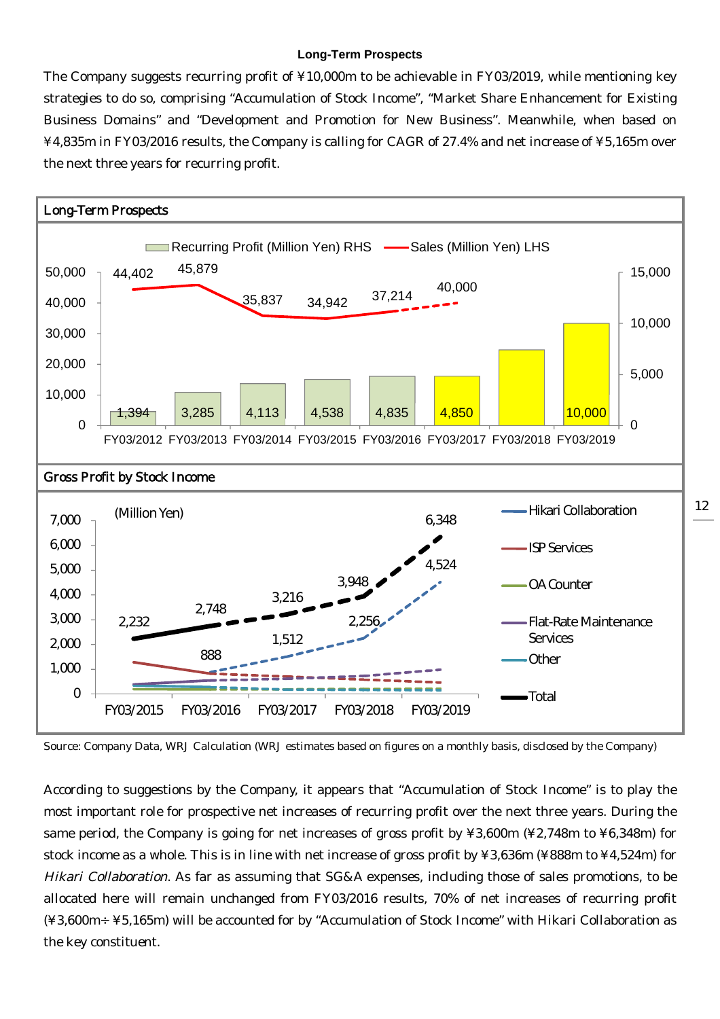#### **Long-Term Prospects**

The Company suggests recurring profit of ¥10,000m to be achievable in FY03/2019, while mentioning key strategies to do so, comprising "Accumulation of Stock Income", "Market Share Enhancement for Existing Business Domains" and "Development and Promotion for New Business". Meanwhile, when based on ¥4,835m in FY03/2016 results, the Company is calling for CAGR of 27.4% and net increase of ¥5,165m over the next three years for recurring profit.



Source: Company Data, WRJ Calculation (WRJ estimates based on figures on a monthly basis, disclosed by the Company)

According to suggestions by the Company, it appears that "Accumulation of Stock Income" is to play the most important role for prospective net increases of recurring profit over the next three years. During the same period, the Company is going for net increases of gross profit by ¥3,600m (¥2,748m to ¥6,348m) for stock income as a whole. This is in line with net increase of gross profit by ¥3,636m (¥888m to ¥4,524m) for Hikari Collaboration. As far as assuming that SG&A expenses, including those of sales promotions, to be allocated here will remain unchanged from FY03/2016 results, 70% of net increases of recurring profit (¥3,600m÷¥5,165m) will be accounted for by "Accumulation of Stock Income" with Hikari Collaboration as the key constituent.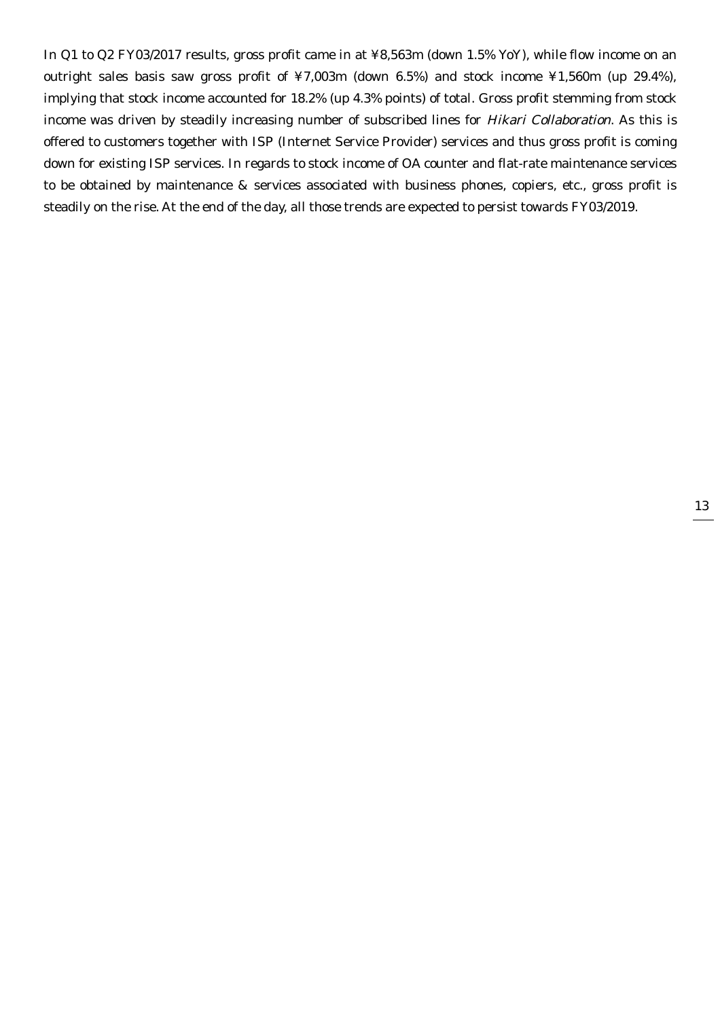In Q1 to Q2 FY03/2017 results, gross profit came in at ¥8,563m (down 1.5% YoY), while flow income on an outright sales basis saw gross profit of ¥7,003m (down 6.5%) and stock income ¥1,560m (up 29.4%), implying that stock income accounted for 18.2% (up 4.3% points) of total. Gross profit stemming from stock income was driven by steadily increasing number of subscribed lines for Hikari Collaboration. As this is offered to customers together with ISP (Internet Service Provider) services and thus gross profit is coming down for existing ISP services. In regards to stock income of OA counter and flat-rate maintenance services to be obtained by maintenance & services associated with business phones, copiers, etc., gross profit is steadily on the rise. At the end of the day, all those trends are expected to persist towards FY03/2019.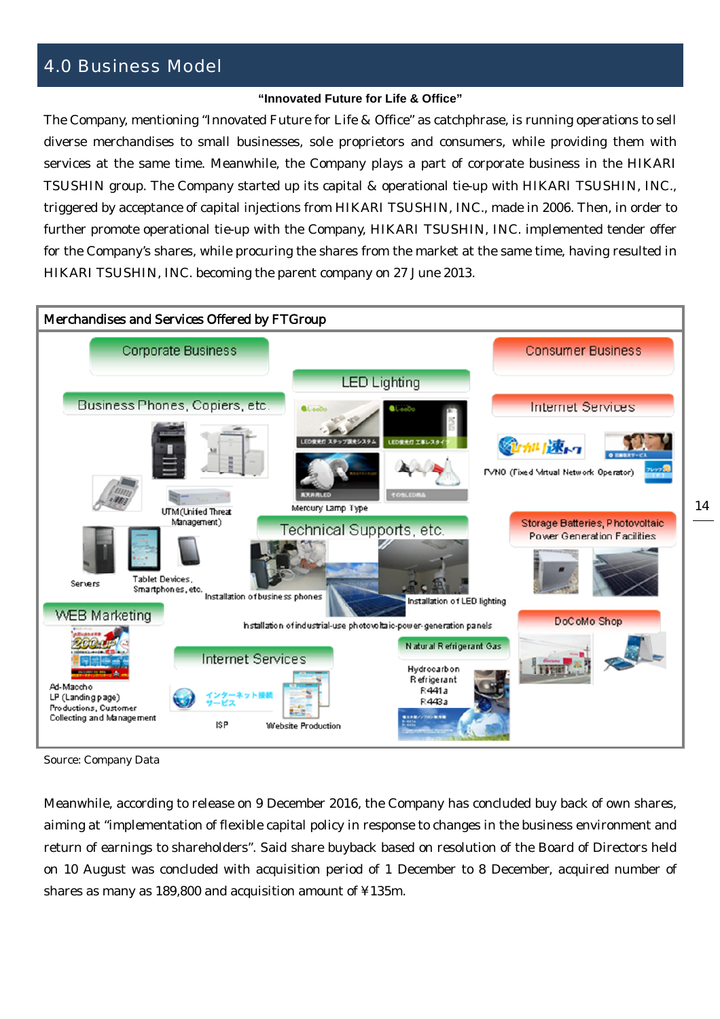## 4.0 Business Model

#### **"Innovated Future for Life & Office"**

The Company, mentioning "Innovated Future for Life & Office" as catchphrase, is running operations to sell diverse merchandises to small businesses, sole proprietors and consumers, while providing them with services at the same time. Meanwhile, the Company plays a part of corporate business in the HIKARI TSUSHIN group. The Company started up its capital & operational tie-up with HIKARI TSUSHIN, INC., triggered by acceptance of capital injections from HIKARI TSUSHIN, INC., made in 2006. Then, in order to further promote operational tie-up with the Company, HIKARI TSUSHIN, INC. implemented tender offer for the Company's shares, while procuring the shares from the market at the same time, having resulted in HIKARI TSUSHIN, INC. becoming the parent company on 27 June 2013.



Source: Company Data

Meanwhile, according to release on 9 December 2016, the Company has concluded buy back of own shares, aiming at "implementation of flexible capital policy in response to changes in the business environment and return of earnings to shareholders". Said share buyback based on resolution of the Board of Directors held on 10 August was concluded with acquisition period of 1 December to 8 December, acquired number of shares as many as 189,800 and acquisition amount of ¥135m.